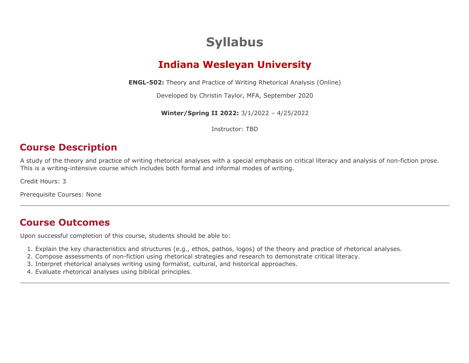# **Syllabus**

# **Indiana Wesleyan University**

**ENGL 502:** Theory and Practice of Writing Rhetorical Analysis (Online)

**Instructor:** Dr. Janet Novotny, ja[net.novotny@agsfaculty.indwes.edu](mailto:christin.taylor@agsfaculty.indwes.edu)  **Winter/Spring II 2022:** 3/1/2022 – 4/25/2022

### **Course Description**

A study of the theory and practice of writing rhetorical analyses with a special emphasis on critical literacy and analysis of non-fiction prose.<br>— This is a writing-intensive course which includes both formal and informal modes of writing.

Credit Hours: 3

Prerequisite Courses: None

### **Course Outcomes**

Upon successful completion of this course, students should be able to:

- 1. Explain the key characteristics and structures (e.g., ethos, pathos, logos) of the theory and practice of rhetorical analyses.
- 2. Compose assessments of non-fiction using rhetorical strategies and research to demonstrate critical literacy.
- 3. Interpret rhetorical analyses writing using formalist, cultural, and historical approaches.
- 4. Evaluate rhetorical analyses using biblical principles.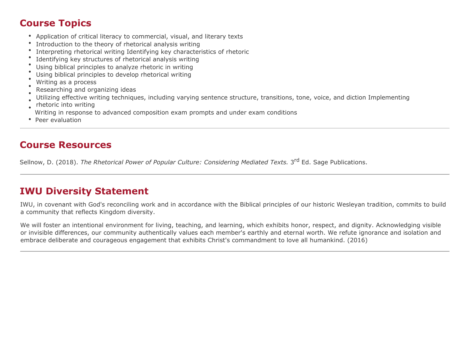# **Course Topics**

- Application of critical literacy to commercial, visual, and literary texts
- Introduction to the theory of rhetorical analysis writing
- Interpreting rhetorical writing Identifying key characteristics of rhetoric
- Identifying key structures of rhetorical analysis writing
- Using biblical principles to analyze rhetoric in writing
- Using biblical principles to develop rhetorical writing
- Writing as a process
- Researching and organizing ideas
- Utilizing effective writing techniques, including varying sentence structure, transitions, tone, voice, and diction Implementing
- rhetoric into writing
- Writing in response to advanced composition exam prompts and under exam conditions
- Peer evaluation

### **Course Resources**

Sellnow, D. (2018). *The Rhetorical Power of Popular Culture: Considering Mediated Texts.* 3<sup>rd</sup> Ed. Sage Publications.

# **IWU Diversity Statement**

IWU, in covenant with God's reconciling work and in accordance with the Biblical principles of our historic Wesleyan tradition, commits to build a community that reflects Kingdom diversity.

We will foster an intentional environment for living, teaching, and learning, which exhibits honor, respect, and dignity. Acknowledging visible or invisible differences, our community authentically values each member's earthly and eternal worth. We refute ignorance and isolation and embrace deliberate and courageous engagement that exhibits Christ's commandment to love all humankind. (2016)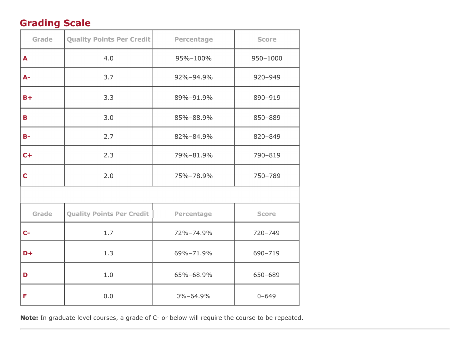# **Grading Scale**

| <b>Grade</b> | <b>Quality Points Per Credit</b> | Percentage        | <b>Score</b> |
|--------------|----------------------------------|-------------------|--------------|
| A            | 4.0                              | 95%-100%          | 950-1000     |
| $A-$         | 3.7                              | 92%-94.9%         | 920-949      |
| $B +$        | 3.3                              | 89%-91.9%         | 890-919      |
| В            | 3.0                              | 85%-88.9%         | 850-889      |
| $B-$         | 2.7                              | 82%-84.9%         | 820-849      |
| $C +$        | 2.3                              | 79%-81.9%         | 790-819      |
| $\mathbf C$  | 2.0                              | 75%-78.9%         | 750-789      |
|              |                                  |                   |              |
| Grade        | <b>Quality Points Per Credit</b> | <b>Percentage</b> | <b>Score</b> |
| $C-$         | 1.7                              | 72%-74.9%         | 720-749      |
| $D+$         | 1.3                              | 69%-71.9%         | 690-719      |
| D            | 1.0                              | 65%-68.9%         | 650-689      |
| F            | 0.0                              | $0\% - 64.9\%$    | $0 - 649$    |

**Note:** In graduate level courses, a grade of C- or below will require the course to be repeated.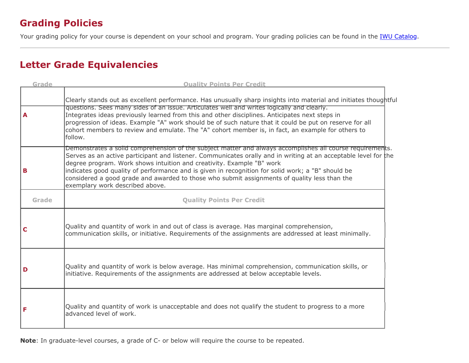# **Grading Policies**

Your grading policy for your course is dependent on your school and program. Your grading policies can be found in the IWU Catalog.

# **Letter Grade Equivalencies**

| Grade | <b>Quality Points Per Credit</b>                                                                                                                                                                                                                                                                                                                                                                                                                                                                                                              |
|-------|-----------------------------------------------------------------------------------------------------------------------------------------------------------------------------------------------------------------------------------------------------------------------------------------------------------------------------------------------------------------------------------------------------------------------------------------------------------------------------------------------------------------------------------------------|
| А     | Clearly stands out as excellent performance. Has unusually sharp insights into material and initiates thoughtful<br>questions. Sees many sides of an issue. Articulates well and writes logically and clearly.<br>Integrates ideas previously learned from this and other disciplines. Anticipates next steps in<br>progression of ideas. Example "A" work should be of such nature that it could be put on reserve for all<br>cohort members to review and emulate. The "A" cohort member is, in fact, an example for others to<br>follow.   |
| в     | Demonstrates a solid comprehension of the subject matter and always accomplishes all course requirements.<br>Serves as an active participant and listener. Communicates orally and in writing at an acceptable level for the<br>degree program. Work shows intuition and creativity. Example "B" work<br>indicates good quality of performance and is given in recognition for solid work; a "B" should be<br>considered a good grade and awarded to those who submit assignments of quality less than the<br>exemplary work described above. |
| Grade | <b>Quality Points Per Credit</b>                                                                                                                                                                                                                                                                                                                                                                                                                                                                                                              |
| C     | Quality and quantity of work in and out of class is average. Has marginal comprehension,<br>communication skills, or initiative. Requirements of the assignments are addressed at least minimally.                                                                                                                                                                                                                                                                                                                                            |
| D     | Quality and quantity of work is below average. Has minimal comprehension, communication skills, or<br>initiative. Requirements of the assignments are addressed at below acceptable levels.                                                                                                                                                                                                                                                                                                                                                   |
| F     | Quality and quantity of work is unacceptable and does not qualify the student to progress to a more<br>advanced level of work.                                                                                                                                                                                                                                                                                                                                                                                                                |

**Note**: In graduate-level courses, a grade of C- or below will require the course to be repeated.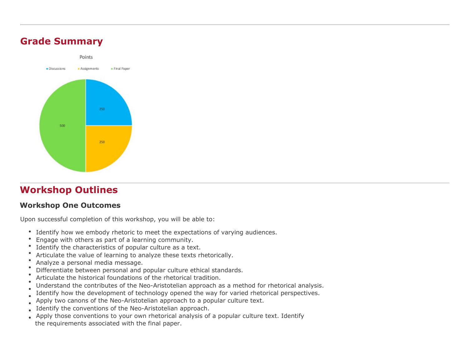### **Grade Summary**



# **Workshop Outlines**

#### **Workshop One Outcomes**

- Identify how we embody rhetoric to meet the expectations of varying audiences.
- $\bullet$ Engage with others as part of a learning community.
- Identify the characteristics of popular culture as a text.
- $\bullet$ Articulate the value of learning to analyze these texts rhetorically.
- Analyze a personal media message.
- Differentiate between personal and popular culture ethical standards.
- Articulate the historical foundations of the rhetorical tradition.
- Understand the contributes of the Neo-Aristotelian approach as a method for rhetorical analysis.
- Identify how the development of technology opened the way for varied rhetorical perspectives.
- Apply two canons of the Neo-Aristotelian approach to a popular culture text.
- Identify the conventions of the Neo-Aristotelian approach.
- Apply those conventions to your own rhetorical analysis of a popular culture text. Identify
- the requirements associated with the final paper.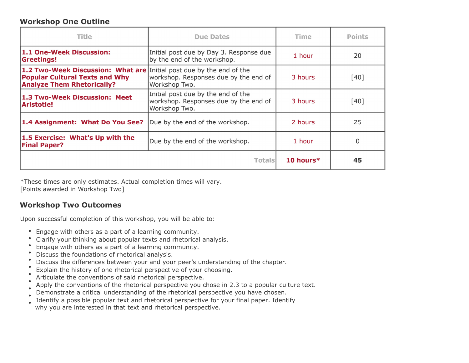#### **Workshop One Outline**

| Title                                                                                                                                              | <b>Due Dates</b>                                                                             | Time         | <b>Points</b> |
|----------------------------------------------------------------------------------------------------------------------------------------------------|----------------------------------------------------------------------------------------------|--------------|---------------|
| 1.1 One-Week Discussion:<br><b>Greetings!</b>                                                                                                      | Initial post due by Day 3. Response due<br>by the end of the workshop.                       | 1 hour       | 20            |
| 1.2 Two-Week Discussion: What are Initial post due by the end of the<br><b>Popular Cultural Texts and Why</b><br><b>Analyze Them Rhetorically?</b> | workshop. Responses due by the end of<br>Workshop Two.                                       | 3 hours      | [40]          |
| 1.3 Two-Week Discussion: Meet<br><b>Aristotle!</b>                                                                                                 | Initial post due by the end of the<br>workshop. Responses due by the end of<br>Workshop Two. | 3 hours      | [40]          |
| 1.4 Assignment: What Do You See?                                                                                                                   | Due by the end of the workshop.                                                              | 2 hours      | 25            |
| 1.5 Exercise: What's Up with the<br><b>Final Paper?</b>                                                                                            | Due by the end of the workshop.                                                              | 1 hour       | O             |
|                                                                                                                                                    | <b>Totals</b>                                                                                | 10 hours $*$ | 45            |

\*These times are only estimates. Actual completion times will vary. [Points awarded in Workshop Two]

#### **Workshop Two Outcomes**

- Engage with others as a part of a learning community.
- Clarify your thinking about popular texts and rhetorical analysis.  $\bullet$
- Engage with others as a part of a learning community.
- Discuss the foundations of rhetorical analysis.
- Discuss the differences between your and your peer's understanding of the chapter.
- Explain the history of one rhetorical perspective of your choosing.
- Articulate the conventions of said rhetorical perspective.
- Apply the conventions of the rhetorical perspective you chose in 2.3 to a popular culture text.
- Demonstrate a critical understanding of the rhetorical perspective you have chosen.
- Identify a possible popular text and rhetorical perspective for your final paper. Identify
- why you are interested in that text and rhetorical perspective.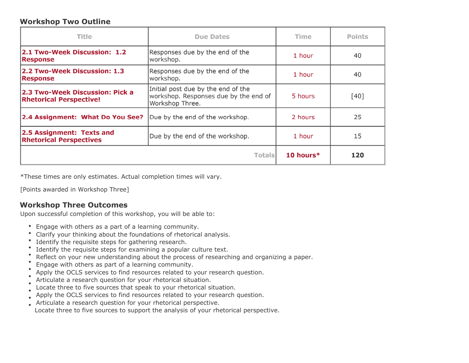#### **Workshop Two Outline**

| Title                                                             | <b>Due Dates</b>                                                                               | Time      | <b>Points</b> |
|-------------------------------------------------------------------|------------------------------------------------------------------------------------------------|-----------|---------------|
| 2.1 Two-Week Discussion: 1.2<br><b>Response</b>                   | Responses due by the end of the<br>workshop.                                                   | 1 hour    | 40            |
| 2.2 Two-Week Discussion: 1.3<br><b>Response</b>                   | Responses due by the end of the<br>workshop.                                                   | 1 hour    | 40            |
| 2.3 Two-Week Discussion: Pick a<br><b>Rhetorical Perspective!</b> | Initial post due by the end of the<br>workshop. Responses due by the end of<br>Workshop Three. | 5 hours   | [40]          |
| 2.4 Assignment: What Do You See?                                  | Due by the end of the workshop.                                                                | 2 hours   | 25            |
| 2.5 Assignment: Texts and<br><b>Rhetorical Perspectives</b>       | Due by the end of the workshop.                                                                | 1 hour    | 15            |
|                                                                   | <b>Totals</b>                                                                                  | 10 hours* | 120           |

\*These times are only estimates. Actual completion times will vary.

[Points awarded in Workshop Three]

#### **Workshop Three Outcomes**

- Engage with others as a part of a learning community.
- Clarify your thinking about the foundations of rhetorical analysis.
- Identify the requisite steps for gathering research.
- Identify the requisite steps for examining a popular culture text.
- Reflect on your new understanding about the process of researching and organizing a paper.
- Engage with others as part of a learning community.
- Apply the OCLS services to find resources related to your research question.
- Articulate a research question for your rhetorical situation.
- Locate three to five sources that speak to your rhetorical situation.
- Apply the OCLS services to find resources related to your research question.
- Articulate a research question for your rhetorical perspective. Locate three to five sources to support the analysis of your rhetorical perspective.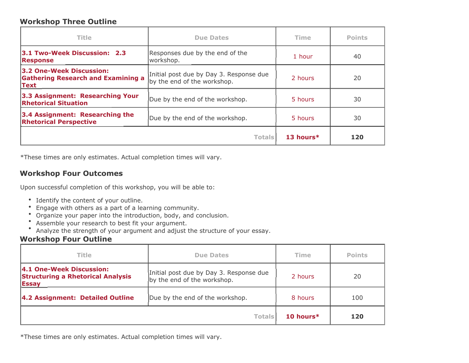#### **Workshop Three Outline**

| <b>Title</b>                                                                   | <b>Due Dates</b>                                                       | <b>Time</b>  | <b>Points</b> |
|--------------------------------------------------------------------------------|------------------------------------------------------------------------|--------------|---------------|
| 3.1 Two-Week Discussion: 2.3<br><b>Response</b>                                | Responses due by the end of the<br>workshop.                           | 1 hour       | 40            |
| 3.2 One-Week Discussion:<br><b>Gathering Research and Examining a</b><br> Text | Initial post due by Day 3. Response due<br>by the end of the workshop. | 2 hours      | 20            |
| 3.3 Assignment: Researching Your<br><b>Rhetorical Situation</b>                | Due by the end of the workshop.                                        | 5 hours      | 30            |
| 3.4 Assignment: Researching the<br><b>Rhetorical Perspective</b>               | Due by the end of the workshop.                                        | 5 hours      | 30            |
|                                                                                | <b>Totals</b>                                                          | 13 hours $*$ | 120           |

\*These times are only estimates. Actual completion times will vary.

#### **Workshop Four Outcomes**

Upon successful completion of this workshop, you will be able to:

- Identify the content of your outline.
- Engage with others as a part of a learning community.  $\bullet$  .
- Organize your paper into the introduction, body, and conclusion.
- Assemble your research to best fit your argument.  $\bullet$
- $\bullet$ Analyze the strength of your argument and adjust the structure of your essay.

#### **Workshop Four Outline**

| <b>Title</b>                                                                         | <b>Due Dates</b>                                                       | <b>Time</b>  | <b>Points</b> |
|--------------------------------------------------------------------------------------|------------------------------------------------------------------------|--------------|---------------|
| 4.1 One-Week Discussion:<br><b>Structuring a Rhetorical Analysis</b><br><b>Essay</b> | Initial post due by Day 3. Response due<br>by the end of the workshop. | 2 hours      | 20            |
| 4.2 Assignment: Detailed Outline                                                     | Due by the end of the workshop.                                        | 8 hours      | 100           |
|                                                                                      | <b>Totals</b>                                                          | 10 hours $*$ | 120           |

\*These times are only estimates. Actual completion times will vary.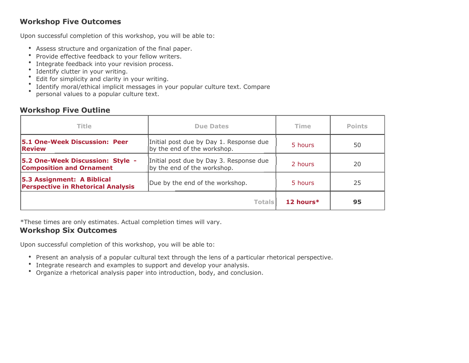#### **Workshop Five Outcomes**

Upon successful completion of this workshop, you will be able to:

- Assess structure and organization of the final paper.
- Provide effective feedback to your fellow writers.
- Integrate feedback into your revision process.
- $\bullet$ Identify clutter in your writing.
- Edit for simplicity and clarity in your writing.
- $\bullet$ Identify moral/ethical implicit messages in your popular culture text. Compare
- personal values to a popular culture text.

#### **Workshop Five Outline**

| <b>Title</b>                                                            | <b>Due Dates</b>                                                       | <b>Time</b> | <b>Points</b> |
|-------------------------------------------------------------------------|------------------------------------------------------------------------|-------------|---------------|
| 5.1 One-Week Discussion: Peer<br><b>Review</b>                          | Initial post due by Day 1. Response due<br>by the end of the workshop. | 5 hours     | 50            |
| 5.2 One-Week Discussion: Style -<br><b>Composition and Ornament</b>     | Initial post due by Day 3. Response due<br>by the end of the workshop. | 2 hours     | 20            |
| 5.3 Assignment: A Biblical<br><b>Perspective in Rhetorical Analysis</b> | Due by the end of the workshop.                                        | 5 hours     | 25            |
|                                                                         | <b>Totals</b>                                                          | 12 hours*   | 95            |

\*These times are only estimates. Actual completion times will vary.

#### **Workshop Six Outcomes**

- Present an analysis of a popular cultural text through the lens of a particular rhetorical perspective.
- Integrate research and examples to support and develop your analysis.
- Organize a rhetorical analysis paper into introduction, body, and conclusion.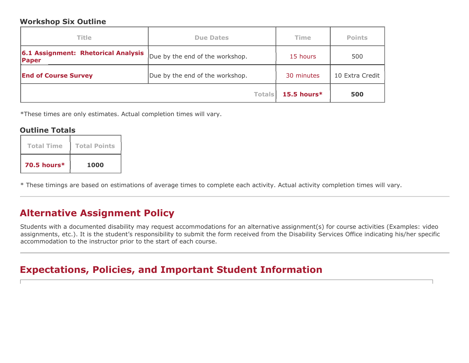#### **Workshop Six Outline**

| Title                                          | <b>Time</b><br><b>Due Dates</b> |                | <b>Points</b>   |
|------------------------------------------------|---------------------------------|----------------|-----------------|
| 6.1 Assignment: Rhetorical Analysis  <br>Paper | Due by the end of the workshop. | 15 hours       | 500             |
| <b>End of Course Survey</b>                    | Due by the end of the workshop. | 30 minutes     | 10 Extra Credit |
|                                                | <b>Totals</b>                   | 15.5 hours $*$ | 500             |

\*These times are only estimates. Actual completion times will vary.

#### **Outline Totals**

| <b>Total Time</b> | <b>Total Points</b> |
|-------------------|---------------------|
| 70.5 hours $*$    | 1000                |

\* These timings are based on estimations of average times to complete each activity. Actual activity completion times will vary.

# **Alternative Assignment Policy**

Students with a documented disability may request accommodations for an alternative assignment(s) for course activities (Examples: video assignments, etc.). It is the student's responsibility to submit the form received from the Disability Services Office indicating his/her specific accommodation to the instructor prior to the start of each course.

# **Expectations, Policies, and Important Student Information**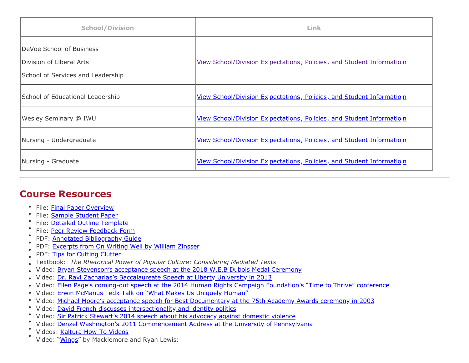| <b>School/Division</b>                                                                            | Link                                                                  |
|---------------------------------------------------------------------------------------------------|-----------------------------------------------------------------------|
| DeVoe School of Business<br><b>IDivision of Liberal Arts</b><br>School of Services and Leadership | View School/Division Ex pectations, Policies, and Student Information |
| School of Educational Leadership                                                                  | View School/Division Ex pectations, Policies, and Student Information |
| Wesley Seminary @ IWU                                                                             | View School/Division Ex pectations, Policies, and Student Information |
| Nursing - Undergraduate                                                                           | View School/Division Ex pectations, Policies, and Student Information |
| Nursing - Graduate                                                                                | View School/Division Ex pectations, Policies, and Student Information |

# **Course Resources**

- File: Final Paper Overview
- File: Sample Student Paper
- File: Detailed Outline Template
- File: Peer Review Feedback Form
- PDF: Annotated Bibliography Guide
- PDF: Excerpts from On Writing Well by William Zinsser
- PDF: Tips for Cutting Clutter
- Textbook: *The Rhetorical Power of Popular Culture: Considering Mediated Texts*
- Video: Bryan Stevenson's acceptance speech at the 2018 W.E.B Dubois Medal Ceremony
- Video: Dr. Ravi Zacharias's Baccalaureate Speech at Liberty University in 2013
- Video: Ellen Page's coming-out speech at the 2014 Human Rights Campaign Foundation's "Time to Thrive" conference
- Video: Erwin McManus Tedx Talk on "What Makes Us Uniquely Human"
- Video: Michael Moore's acceptance speech for Best Documentary at the 75th Academy Awards ceremony in 2003
- Video: David French discusses intersectionality and identity politics  $\bullet$
- Video: Sir Patrick Stewart's 2014 speech about his advocacy against domestic violence
- Video: Denzel Washington's 2011 Commencement Address at the University of Pennsylvania
- Videos: Kaltura How-To Videos
- Video: "Wings" by Macklemore and Ryan Lewis: